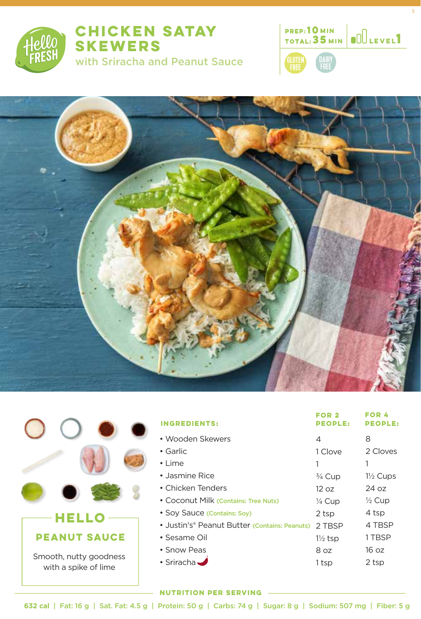

## **CHICKEN SATAY SKEWERS**

with Sriracha and Peanut Sauce



**1**

5





| <b>INGREDIENTS:</b>                                       | FOR 2<br><b>PEOPLE:</b> | FOR 4<br><b>PEOPLE:</b> |
|-----------------------------------------------------------|-------------------------|-------------------------|
| • Wooden Skewers                                          | 4                       | 8                       |
| $\bullet$ Garlic                                          | 1 Clove                 | 2 Cloves                |
| $\cdot$ Lime                                              |                         |                         |
| $\bullet$ Jasmine Rice                                    | $\frac{3}{4}$ Cup       | $1\frac{1}{2}$ Cups     |
| • Chicken Tenders                                         | 12 oz                   | 24 oz                   |
| • Coconut Milk (Contains: Tree Nuts)                      | $\frac{1}{4}$ Cup       | $\frac{1}{2}$ Cup       |
| • Soy Sauce (Contains: Soy)                               | 2 tsp                   | 4 tsp                   |
| • Justin's <sup>®</sup> Peanut Butter (Contains: Peanuts) | 2 TBSP                  | 4 TBSP                  |
| • Sesame Oil                                              | $1\frac{1}{2}$ tsp      | 1 TBSP                  |
| • Snow Peas                                               | 8 oz                    | 16 oz                   |
| · Sriracha -                                              | 1 tsp                   | 2 tsp                   |
|                                                           |                         |                         |

## **NUTRITION PER SERVING**